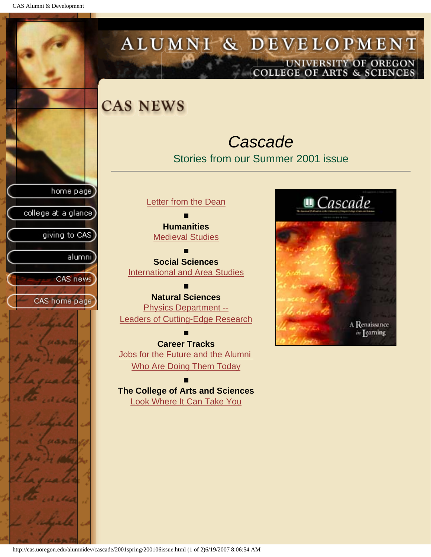CAS Alumni & Development



## ALUMNI & DEVELOPMENT UNIVERSITY OF OREGON<br>COLLEGE OF ARTS & SCIENCES

*Cascade* Stories from our Summer 2001 issue

[Letter from the Dean](#page-1-0)

**Humanities** [Medieval Studies](#page-3-0)

**Social Sciences** [International and Area Studies](#page-6-0)

**Natural Sciences** [Physics Department --](#page-9-0) [Leaders of Cutting-Edge Research](#page-9-0)

**Career Tracks** [Jobs for the Future and the Alumni](#page-12-0) [Who Are Doing Them Today](#page-12-0)

**The College of Arts and Sciences** [Look Where It Can Take You](#page-18-0)

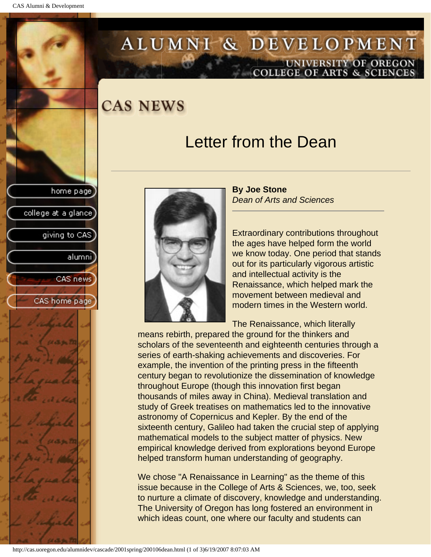college at a glance

giving to CAS

alumni

CAS news

CAS home page

# <span id="page-1-0"></span>ALUMNI & DEVELOPMENT UNIVERSITY OF OREGON<br>COLLEGE OF ARTS & SCIENCES

**CAS NEWS** 

## Letter from the Dean



**By Joe Stone** *Dean of Arts and Sciences*

Extraordinary contributions throughout the ages have helped form the world we know today. One period that stands out for its particularly vigorous artistic and intellectual activity is the Renaissance, which helped mark the movement between medieval and modern times in the Western world.

The Renaissance, which literally

means rebirth, prepared the ground for the thinkers and scholars of the seventeenth and eighteenth centuries through a series of earth-shaking achievements and discoveries. For example, the invention of the printing press in the fifteenth century began to revolutionize the dissemination of knowledge throughout Europe (though this innovation first began thousands of miles away in China). Medieval translation and study of Greek treatises on mathematics led to the innovative astronomy of Copernicus and Kepler. By the end of the sixteenth century, Galileo had taken the crucial step of applying mathematical models to the subject matter of physics. New empirical knowledge derived from explorations beyond Europe helped transform human understanding of geography.

We chose "A Renaissance in Learning" as the theme of this issue because in the College of Arts & Sciences, we, too, seek to nurture a climate of discovery, knowledge and understanding. The University of Oregon has long fostered an environment in which ideas count, one where our faculty and students can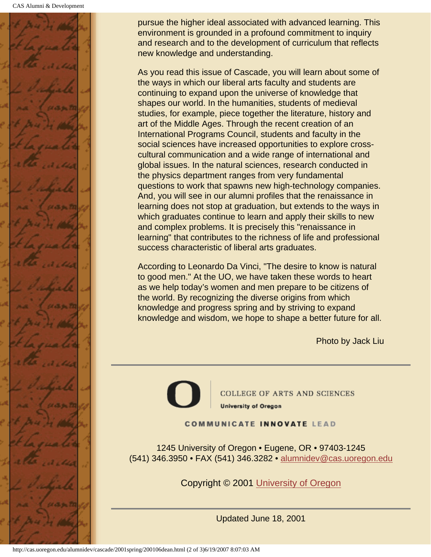

pursue the higher ideal associated with advanced learning. This environment is grounded in a profound commitment to inquiry and research and to the development of curriculum that reflects new knowledge and understanding.

As you read this issue of Cascade, you will learn about some of the ways in which our liberal arts faculty and students are continuing to expand upon the universe of knowledge that shapes our world. In the humanities, students of medieval studies, for example, piece together the literature, history and art of the Middle Ages. Through the recent creation of an International Programs Council, students and faculty in the social sciences have increased opportunities to explore crosscultural communication and a wide range of international and global issues. In the natural sciences, research conducted in the physics department ranges from very fundamental questions to work that spawns new high-technology companies. And, you will see in our alumni profiles that the renaissance in learning does not stop at graduation, but extends to the ways in which graduates continue to learn and apply their skills to new and complex problems. It is precisely this "renaissance in learning" that contributes to the richness of life and professional success characteristic of liberal arts graduates.

According to Leonardo Da Vinci, "The desire to know is natural to good men." At the UO, we have taken these words to heart as we help today's women and men prepare to be citizens of the world. By recognizing the diverse origins from which knowledge and progress spring and by striving to expand knowledge and wisdom, we hope to shape a better future for all.

Photo by Jack Liu

**COLLEGE OF ARTS AND SCIENCES University of Oregon** 

**COMMUNICATE INNOVATE LEAD** 

1245 University of Oregon • Eugene, OR • 97403-1245 (541) 346.3950 • FAX (541) 346.3282 • alumnidev@cas.uoregon.edu

Copyright © 2001 University of Oregon

Updated June 18, 2001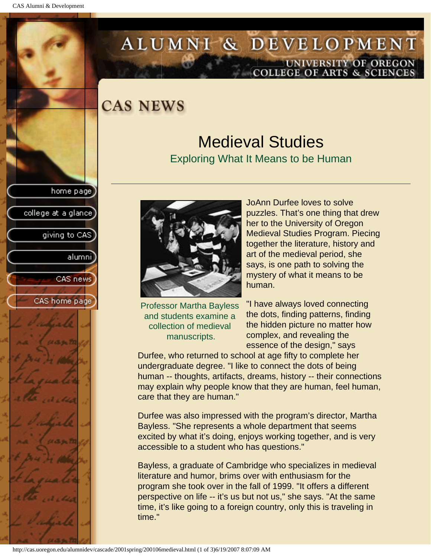college at a glance

giving to CAS

alumni

CAS news

CAS home page

# <span id="page-3-0"></span>ALUMNI & DEVELOPMENT UNIVERSITY OF OREGON<br>COLLEGE OF ARTS & SCIENCES

**CAS NEWS** 

### Medieval Studies Exploring What It Means to be Human



Professor Martha Bayless and students examine a collection of medieval manuscripts.

JoAnn Durfee loves to solve puzzles. That's one thing that drew her to the University of Oregon Medieval Studies Program. Piecing together the literature, history and art of the medieval period, she says, is one path to solving the mystery of what it means to be human.

"I have always loved connecting the dots, finding patterns, finding the hidden picture no matter how complex, and revealing the essence of the design," says

Durfee, who returned to school at age fifty to complete her undergraduate degree. "I like to connect the dots of being human -- thoughts, artifacts, dreams, history -- their connections may explain why people know that they are human, feel human, care that they are human."

Durfee was also impressed with the program's director, Martha Bayless. "She represents a whole department that seems excited by what it's doing, enjoys working together, and is very accessible to a student who has questions."

Bayless, a graduate of Cambridge who specializes in medieval literature and humor, brims over with enthusiasm for the program she took over in the fall of 1999. "It offers a different perspective on life -- it's us but not us," she says. "At the same time, it's like going to a foreign country, only this is traveling in time."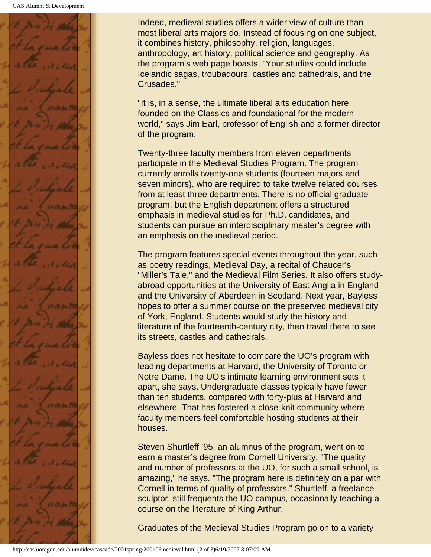

Indeed, medieval studies offers a wider view of culture than most liberal arts majors do. Instead of focusing on one subject, it combines history, philosophy, religion, languages, anthropology, art history, political science and geography. As the program's web page boasts, "Your studies could include Icelandic sagas, troubadours, castles and cathedrals, and the Crusades."

"It is, in a sense, the ultimate liberal arts education here, founded on the Classics and foundational for the modern world," says Jim Earl, professor of English and a former director of the program.

Twenty-three faculty members from eleven departments participate in the Medieval Studies Program. The program currently enrolls twenty-one students (fourteen majors and seven minors), who are required to take twelve related courses from at least three departments. There is no official graduate program, but the English department offers a structured emphasis in medieval studies for Ph.D. candidates, and students can pursue an interdisciplinary master's degree with an emphasis on the medieval period.

The program features special events throughout the year, such as poetry readings, Medieval Day, a recital of Chaucer's "Miller's Tale," and the Medieval Film Series. It also offers studyabroad opportunities at the University of East Anglia in England and the University of Aberdeen in Scotland. Next year, Bayless hopes to offer a summer course on the preserved medieval city of York, England. Students would study the history and literature of the fourteenth-century city, then travel there to see its streets, castles and cathedrals.

Bayless does not hesitate to compare the UO's program with leading departments at Harvard, the University of Toronto or Notre Dame. The UO's intimate learning environment sets it apart, she says. Undergraduate classes typically have fewer than ten students, compared with forty-plus at Harvard and elsewhere. That has fostered a close-knit community where faculty members feel comfortable hosting students at their houses.

Steven Shurtleff '95, an alumnus of the program, went on to earn a master's degree from Cornell University. "The quality and number of professors at the UO, for such a small school, is amazing," he says. "The program here is definitely on a par with Cornell in terms of quality of professors." Shurtleff, a freelance sculptor, still frequents the UO campus, occasionally teaching a course on the literature of King Arthur.

Graduates of the Medieval Studies Program go on to a variety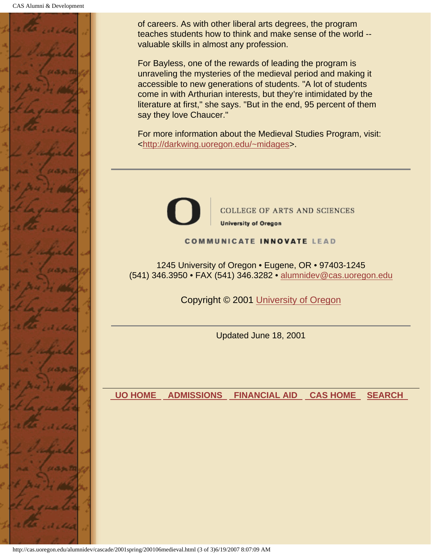

of careers. As with other liberal arts degrees, the program teaches students how to think and make sense of the world - valuable skills in almost any profession.

For Bayless, one of the rewards of leading the program is unraveling the mysteries of the medieval period and making it accessible to new generations of students. "A lot of students come in with Arthurian interests, but they're intimidated by the literature at first," she says. "But in the end, 95 percent of them say they love Chaucer."

For more information about the Medieval Studies Program, visit: <http://darkwing.uoregon.edu/~midages>.



**COLLEGE OF ARTS AND SCIENCES University of Oregon** 

#### **COMMUNICATE INNOVATE LEAD**

1245 University of Oregon • Eugene, OR • 97403-1245 (541) 346.3950 • FAX (541) 346.3282 • alumnidev@cas.uoregon.edu

Copyright © 2001 University of Oregon

Updated June 18, 2001

 **UO HOME ADMISSIONS FINANCIAL AID CAS HOME SEARCH**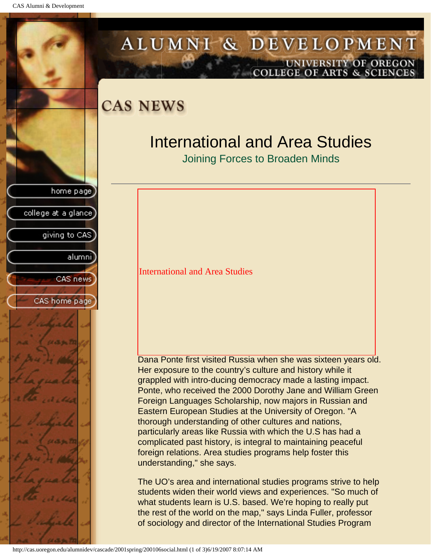CAS Alumni & Development

<span id="page-6-0"></span>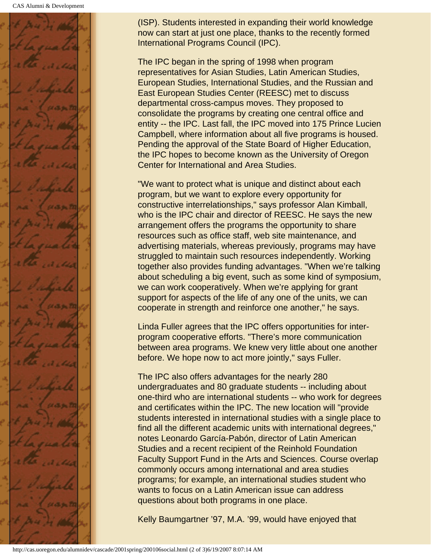

(ISP). Students interested in expanding their world knowledge now can start at just one place, thanks to the recently formed International Programs Council (IPC).

The IPC began in the spring of 1998 when program representatives for Asian Studies, Latin American Studies, European Studies, International Studies, and the Russian and East European Studies Center (REESC) met to discuss departmental cross-campus moves. They proposed to consolidate the programs by creating one central office and entity -- the IPC. Last fall, the IPC moved into 175 Prince Lucien Campbell, where information about all five programs is housed. Pending the approval of the State Board of Higher Education, the IPC hopes to become known as the University of Oregon Center for International and Area Studies.

"We want to protect what is unique and distinct about each program, but we want to explore every opportunity for constructive interrelationships," says professor Alan Kimball, who is the IPC chair and director of REESC. He says the new arrangement offers the programs the opportunity to share resources such as office staff, web site maintenance, and advertising materials, whereas previously, programs may have struggled to maintain such resources independently. Working together also provides funding advantages. "When we're talking about scheduling a big event, such as some kind of symposium, we can work cooperatively. When we're applying for grant support for aspects of the life of any one of the units, we can cooperate in strength and reinforce one another," he says.

Linda Fuller agrees that the IPC offers opportunities for interprogram cooperative efforts. "There's more communication between area programs. We knew very little about one another before. We hope now to act more jointly," says Fuller.

The IPC also offers advantages for the nearly 280 undergraduates and 80 graduate students -- including about one-third who are international students -- who work for degrees and certificates within the IPC. The new location will "provide students interested in international studies with a single place to find all the different academic units with international degrees," notes Leonardo García-Pabón, director of Latin American Studies and a recent recipient of the Reinhold Foundation Faculty Support Fund in the Arts and Sciences. Course overlap commonly occurs among international and area studies programs; for example, an international studies student who wants to focus on a Latin American issue can address questions about both programs in one place.

Kelly Baumgartner '97, M.A. '99, would have enjoyed that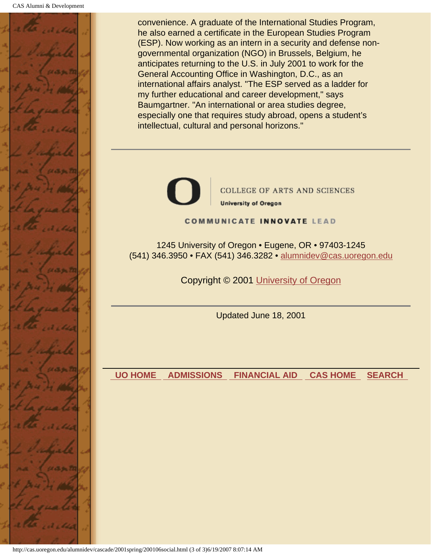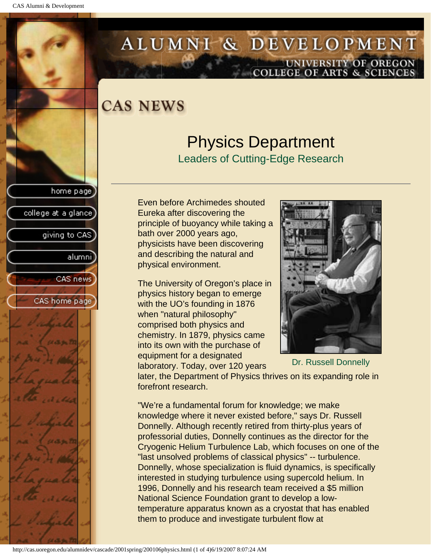college at a glance

giving to CAS

alumni

CAS news

CAS home page

# <span id="page-9-0"></span>ALUMNI & DEVELOPMENT UNIVERSITY OF OREGON<br>COLLEGE OF ARTS & SCIENCES

## **CAS NEWS**

## Physics Department Leaders of Cutting-Edge Research

Even before Archimedes shouted Eureka after discovering the principle of buoyancy while taking a bath over 2000 years ago, physicists have been discovering and describing the natural and physical environment.

The University of Oregon's place in physics history began to emerge with the UO's founding in 1876 when "natural philosophy" comprised both physics and chemistry. In 1879, physics came into its own with the purchase of equipment for a designated laboratory. Today, over 120 years



Dr. Russell Donnelly

later, the Department of Physics thrives on its expanding role in forefront research.

"We're a fundamental forum for knowledge; we make knowledge where it never existed before," says Dr. Russell Donnelly. Although recently retired from thirty-plus years of professorial duties, Donnelly continues as the director for the Cryogenic Helium Turbulence Lab, which focuses on one of the "last unsolved problems of classical physics" -- turbulence. Donnelly, whose specialization is fluid dynamics, is specifically interested in studying turbulence using supercold helium. In 1996, Donnelly and his research team received a \$5 million National Science Foundation grant to develop a lowtemperature apparatus known as a cryostat that has enabled them to produce and investigate turbulent flow at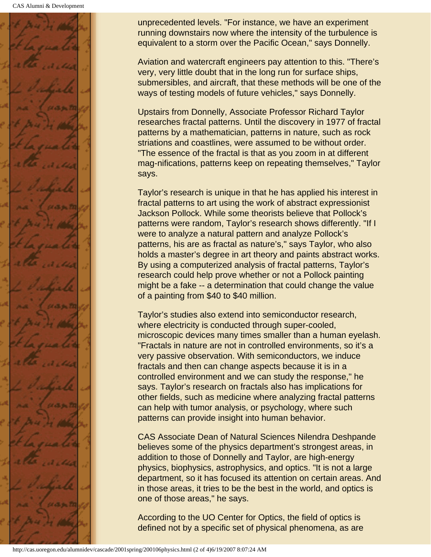

unprecedented levels. "For instance, we have an experiment running downstairs now where the intensity of the turbulence is equivalent to a storm over the Pacific Ocean," says Donnelly.

Aviation and watercraft engineers pay attention to this. "There's very, very little doubt that in the long run for surface ships, submersibles, and aircraft, that these methods will be one of the ways of testing models of future vehicles," says Donnelly.

Upstairs from Donnelly, Associate Professor Richard Taylor researches fractal patterns. Until the discovery in 1977 of fractal patterns by a mathematician, patterns in nature, such as rock striations and coastlines, were assumed to be without order. "The essence of the fractal is that as you zoom in at different mag-nifications, patterns keep on repeating themselves," Taylor says.

Taylor's research is unique in that he has applied his interest in fractal patterns to art using the work of abstract expressionist Jackson Pollock. While some theorists believe that Pollock's patterns were random, Taylor's research shows differently. "If I were to analyze a natural pattern and analyze Pollock's patterns, his are as fractal as nature's," says Taylor, who also holds a master's degree in art theory and paints abstract works. By using a computerized analysis of fractal patterns, Taylor's research could help prove whether or not a Pollock painting might be a fake -- a determination that could change the value of a painting from \$40 to \$40 million.

Taylor's studies also extend into semiconductor research, where electricity is conducted through super-cooled, microscopic devices many times smaller than a human eyelash. "Fractals in nature are not in controlled environments, so it's a very passive observation. With semiconductors, we induce fractals and then can change aspects because it is in a controlled environment and we can study the response," he says. Taylor's research on fractals also has implications for other fields, such as medicine where analyzing fractal patterns can help with tumor analysis, or psychology, where such patterns can provide insight into human behavior.

CAS Associate Dean of Natural Sciences Nilendra Deshpande believes some of the physics department's strongest areas, in addition to those of Donnelly and Taylor, are high-energy physics, biophysics, astrophysics, and optics. "It is not a large department, so it has focused its attention on certain areas. And in those areas, it tries to be the best in the world, and optics is one of those areas," he says.

According to the UO Center for Optics, the field of optics is defined not by a specific set of physical phenomena, as are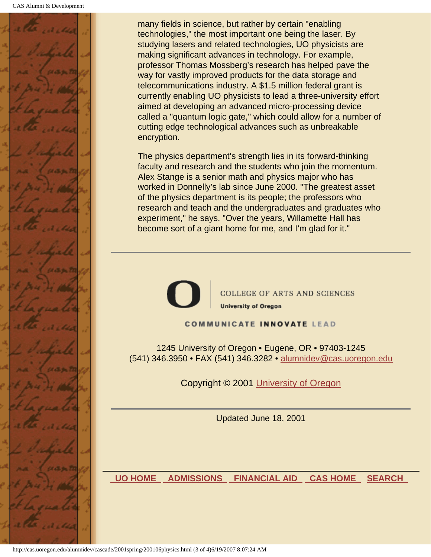

many fields in science, but rather by certain "enabling technologies," the most important one being the laser. By studying lasers and related technologies, UO physicists are making significant advances in technology. For example, professor Thomas Mossberg's research has helped pave the way for vastly improved products for the data storage and telecommunications industry. A \$1.5 million federal grant is currently enabling UO physicists to lead a three-university effort aimed at developing an advanced micro-processing device called a "quantum logic gate," which could allow for a number of cutting edge technological advances such as unbreakable encryption.

The physics department's strength lies in its forward-thinking faculty and research and the students who join the momentum. Alex Stange is a senior math and physics major who has worked in Donnelly's lab since June 2000. "The greatest asset of the physics department is its people; the professors who research and teach and the undergraduates and graduates who experiment," he says. "Over the years, Willamette Hall has become sort of a giant home for me, and I'm glad for it."



**COMMUNICATE INNOVATE LEAD** 

1245 University of Oregon • Eugene, OR • 97403-1245 (541) 346.3950 • FAX (541) 346.3282 • alumnidev@cas.uoregon.edu

Copyright © 2001 University of Oregon

Updated June 18, 2001

 **UO HOME ADMISSIONS FINANCIAL AID CAS HOME SEARCH**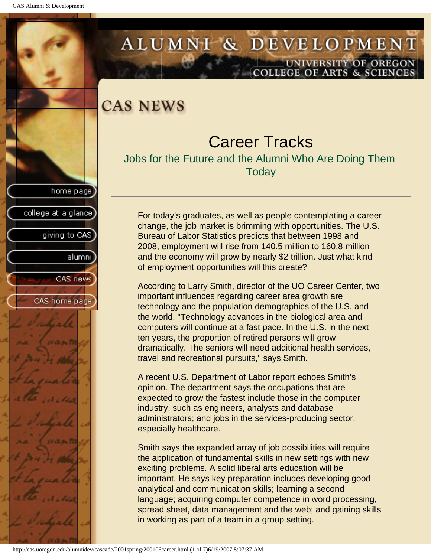college at a glance

giving to CAS

alumni

CAS news

CAS home page

# <span id="page-12-0"></span>ALUMNI & DEVELOPMENT UNIVERSITY OF OREGON<br>COLLEGE OF ARTS & SCIENCES

**CAS NEWS** 

## Career Tracks

Jobs for the Future and the Alumni Who Are Doing Them **Today** 

For today's graduates, as well as people contemplating a career change, the job market is brimming with opportunities. The U.S. Bureau of Labor Statistics predicts that between 1998 and 2008, employment will rise from 140.5 million to 160.8 million and the economy will grow by nearly \$2 trillion. Just what kind of employment opportunities will this create?

According to Larry Smith, director of the UO Career Center, two important influences regarding career area growth are technology and the population demographics of the U.S. and the world. "Technology advances in the biological area and computers will continue at a fast pace. In the U.S. in the next ten years, the proportion of retired persons will grow dramatically. The seniors will need additional health services, travel and recreational pursuits," says Smith.

A recent U.S. Department of Labor report echoes Smith's opinion. The department says the occupations that are expected to grow the fastest include those in the computer industry, such as engineers, analysts and database administrators; and jobs in the services-producing sector, especially healthcare.

Smith says the expanded array of job possibilities will require the application of fundamental skills in new settings with new exciting problems. A solid liberal arts education will be important. He says key preparation includes developing good analytical and communication skills; learning a second language; acquiring computer competence in word processing, spread sheet, data management and the web; and gaining skills in working as part of a team in a group setting.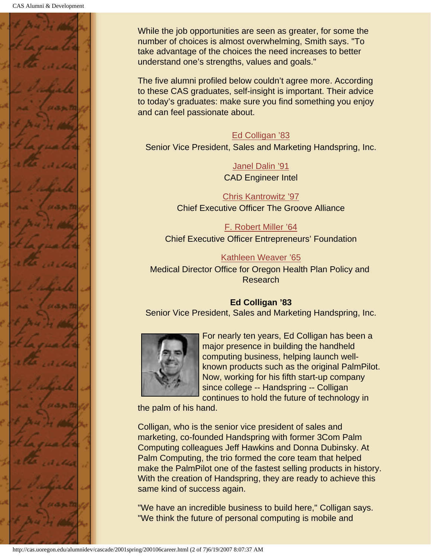

While the job opportunities are seen as greater, for some the number of choices is almost overwhelming, Smith says. "To take advantage of the choices the need increases to better understand one's strengths, values and goals."

The five alumni profiled below couldn't agree more. According to these CAS graduates, self-insight is important. Their advice to today's graduates: make sure you find something you enjoy and can feel passionate about.

#### [Ed Colligan '83](#page-13-0)

Senior Vice President, Sales and Marketing Handspring, Inc.

#### [Janel Dalin '91](#page-14-0) CAD Engineer Intel

[Chris Kantrowitz '97](#page-15-0) Chief Executive Officer The Groove Alliance

#### [F. Robert Miller '64](#page-16-0) Chief Executive Officer Entrepreneurs' Foundation

#### [Kathleen Weaver '65](#page-17-0)

Medical Director Office for Oregon Health Plan Policy and Research

#### **Ed Colligan '83**

Senior Vice President, Sales and Marketing Handspring, Inc.

<span id="page-13-0"></span>

For nearly ten years, Ed Colligan has been a major presence in building the handheld computing business, helping launch wellknown products such as the original PalmPilot. Now, working for his fifth start-up company since college -- Handspring -- Colligan continues to hold the future of technology in

the palm of his hand.

Colligan, who is the senior vice president of sales and marketing, co-founded Handspring with former 3Com Palm Computing colleagues Jeff Hawkins and Donna Dubinsky. At Palm Computing, the trio formed the core team that helped make the PalmPilot one of the fastest selling products in history. With the creation of Handspring, they are ready to achieve this same kind of success again.

"We have an incredible business to build here," Colligan says. "We think the future of personal computing is mobile and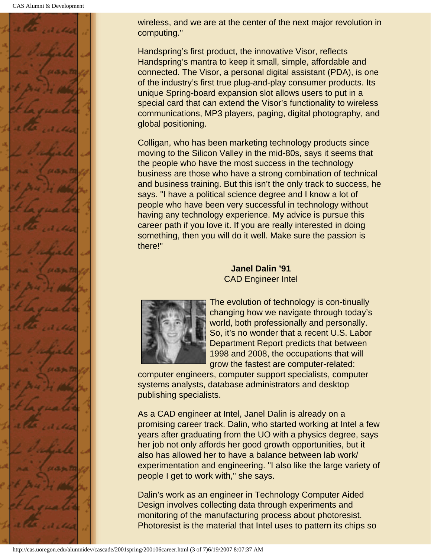

wireless, and we are at the center of the next major revolution in computing."

Handspring's first product, the innovative Visor, reflects Handspring's mantra to keep it small, simple, affordable and connected. The Visor, a personal digital assistant (PDA), is one of the industry's first true plug-and-play consumer products. Its unique Spring-board expansion slot allows users to put in a special card that can extend the Visor's functionality to wireless communications, MP3 players, paging, digital photography, and global positioning.

Colligan, who has been marketing technology products since moving to the Silicon Valley in the mid-80s, says it seems that the people who have the most success in the technology business are those who have a strong combination of technical and business training. But this isn't the only track to success, he says. "I have a political science degree and I know a lot of people who have been very successful in technology without having any technology experience. My advice is pursue this career path if you love it. If you are really interested in doing something, then you will do it well. Make sure the passion is there!"

<span id="page-14-0"></span>**Janel Dalin '91** CAD Engineer Intel



The evolution of technology is con-tinually changing how we navigate through today's world, both professionally and personally. So, it's no wonder that a recent U.S. Labor Department Report predicts that between 1998 and 2008, the occupations that will grow the fastest are computer-related:

computer engineers, computer support specialists, computer systems analysts, database administrators and desktop publishing specialists.

As a CAD engineer at Intel, Janel Dalin is already on a promising career track. Dalin, who started working at Intel a few years after graduating from the UO with a physics degree, says her job not only affords her good growth opportunities, but it also has allowed her to have a balance between lab work/ experimentation and engineering. "I also like the large variety of people I get to work with," she says.

Dalin's work as an engineer in Technology Computer Aided Design involves collecting data through experiments and monitoring of the manufacturing process about photoresist. Photoresist is the material that Intel uses to pattern its chips so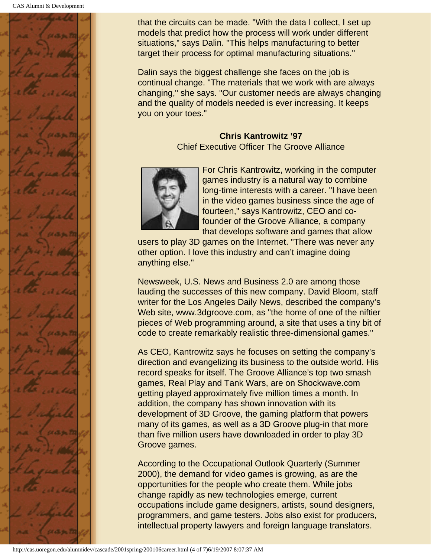<span id="page-15-0"></span>

that the circuits can be made. "With the data I collect, I set up models that predict how the process will work under different situations," says Dalin. "This helps manufacturing to better target their process for optimal manufacturing situations."

Dalin says the biggest challenge she faces on the job is continual change. "The materials that we work with are always changing," she says. "Our customer needs are always changing and the quality of models needed is ever increasing. It keeps you on your toes."

#### **Chris Kantrowitz '97**

Chief Executive Officer The Groove Alliance



For Chris Kantrowitz, working in the computer games industry is a natural way to combine long-time interests with a career. "I have been in the video games business since the age of fourteen," says Kantrowitz, CEO and cofounder of the Groove Alliance, a company that develops software and games that allow

users to play 3D games on the Internet. "There was never any other option. I love this industry and can't imagine doing anything else."

Newsweek, U.S. News and Business 2.0 are among those lauding the successes of this new company. David Bloom, staff writer for the Los Angeles Daily News, described the company's Web site, www.3dgroove.com, as "the home of one of the niftier pieces of Web programming around, a site that uses a tiny bit of code to create remarkably realistic three-dimensional games."

As CEO, Kantrowitz says he focuses on setting the company's direction and evangelizing its business to the outside world. His record speaks for itself. The Groove Alliance's top two smash games, Real Play and Tank Wars, are on Shockwave.com getting played approximately five million times a month. In addition, the company has shown innovation with its development of 3D Groove, the gaming platform that powers many of its games, as well as a 3D Groove plug-in that more than five million users have downloaded in order to play 3D Groove games.

According to the Occupational Outlook Quarterly (Summer 2000), the demand for video games is growing, as are the opportunities for the people who create them. While jobs change rapidly as new technologies emerge, current occupations include game designers, artists, sound designers, programmers, and game testers. Jobs also exist for producers, intellectual property lawyers and foreign language translators.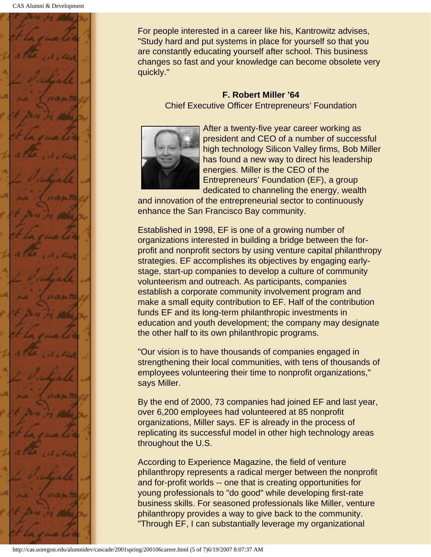<span id="page-16-0"></span>

For people interested in a career like his, Kantrowitz advises, "Study hard and put systems in place for yourself so that you are constantly educating yourself after school. This business changes so fast and your knowledge can become obsolete very quickly."

#### **F. Robert Miller '64**

Chief Executive Officer Entrepreneurs' Foundation



After a twenty-five year career working as president and CEO of a number of successful high technology Silicon Valley firms, Bob Miller has found a new way to direct his leadership energies. Miller is the CEO of the Entrepreneurs' Foundation (EF), a group dedicated to channeling the energy, wealth

and innovation of the entrepreneurial sector to continuously enhance the San Francisco Bay community.

Established in 1998, EF is one of a growing number of organizations interested in building a bridge between the forprofit and nonprofit sectors by using venture capital philanthropy strategies. EF accomplishes its objectives by engaging earlystage, start-up companies to develop a culture of community volunteerism and outreach. As participants, companies establish a corporate community involvement program and make a small equity contribution to EF. Half of the contribution funds EF and its long-term philanthropic investments in education and youth development; the company may designate the other half to its own philanthropic programs.

"Our vision is to have thousands of companies engaged in strengthening their local communities, with tens of thousands of employees volunteering their time to nonprofit organizations," says Miller.

By the end of 2000, 73 companies had joined EF and last year, over 6,200 employees had volunteered at 85 nonprofit organizations, Miller says. EF is already in the process of replicating its successful model in other high technology areas throughout the U.S.

According to Experience Magazine, the field of venture philanthropy represents a radical merger between the nonprofit and for-profit worlds -- one that is creating opportunities for young professionals to "do good" while developing first-rate business skills. For seasoned professionals like Miller, venture philanthropy provides a way to give back to the community. "Through EF, I can substantially leverage my organizational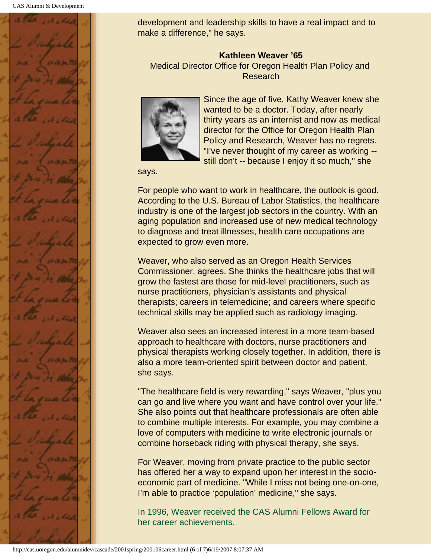<span id="page-17-0"></span>

development and leadership skills to have a real impact and to make a difference," he says.

**Kathleen Weaver '65** Medical Director Office for Oregon Health Plan Policy and Research



Since the age of five, Kathy Weaver knew she wanted to be a doctor. Today, after nearly thirty years as an internist and now as medical director for the Office for Oregon Health Plan Policy and Research, Weaver has no regrets. "I've never thought of my career as working - still don't -- because I enjoy it so much," she

says.

For people who want to work in healthcare, the outlook is good. According to the U.S. Bureau of Labor Statistics, the healthcare industry is one of the largest job sectors in the country. With an aging population and increased use of new medical technology to diagnose and treat illnesses, health care occupations are expected to grow even more.

Weaver, who also served as an Oregon Health Services Commissioner, agrees. She thinks the healthcare jobs that will grow the fastest are those for mid-level practitioners, such as nurse practitioners, physician's assistants and physical therapists; careers in telemedicine; and careers where specific technical skills may be applied such as radiology imaging.

Weaver also sees an increased interest in a more team-based approach to healthcare with doctors, nurse practitioners and physical therapists working closely together. In addition, there is also a more team-oriented spirit between doctor and patient, she says.

"The healthcare field is very rewarding," says Weaver, "plus you can go and live where you want and have control over your life." She also points out that healthcare professionals are often able to combine multiple interests. For example, you may combine a love of computers with medicine to write electronic journals or combine horseback riding with physical therapy, she says.

For Weaver, moving from private practice to the public sector has offered her a way to expand upon her interest in the socioeconomic part of medicine. "While I miss not being one-on-one, I'm able to practice 'population' medicine," she says.

In 1996, Weaver received the CAS Alumni Fellows Award for her career achievements.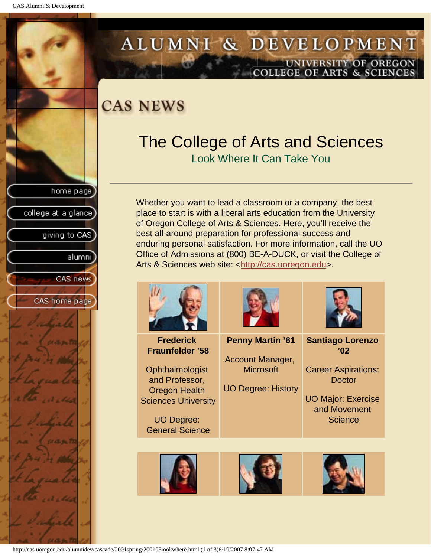giving to CAS

alumni

CAS news

CAS home page

college at a glance

# <span id="page-18-0"></span>ALUMNI & DEVELOPMENT UNIVERSITY OF OREGON<br>COLLEGE OF ARTS & SCIENCES

## **CAS NEWS**

# The College of Arts and Sciences

Look Where It Can Take You

Whether you want to lead a classroom or a company, the best place to start is with a liberal arts education from the University of Oregon College of Arts & Sciences. Here, you'll receive the best all-around preparation for professional success and enduring personal satisfaction. For more information, call the UO Office of Admissions at (800) BE-A-DUCK, or visit the College of Arts & Sciences web site: <http://cas.uoregon.edu>.



http://cas.uoregon.edu/alumnidev/cascade/2001spring/200106lookwhere.html (1 of 3)6/19/2007 8:07:47 AM